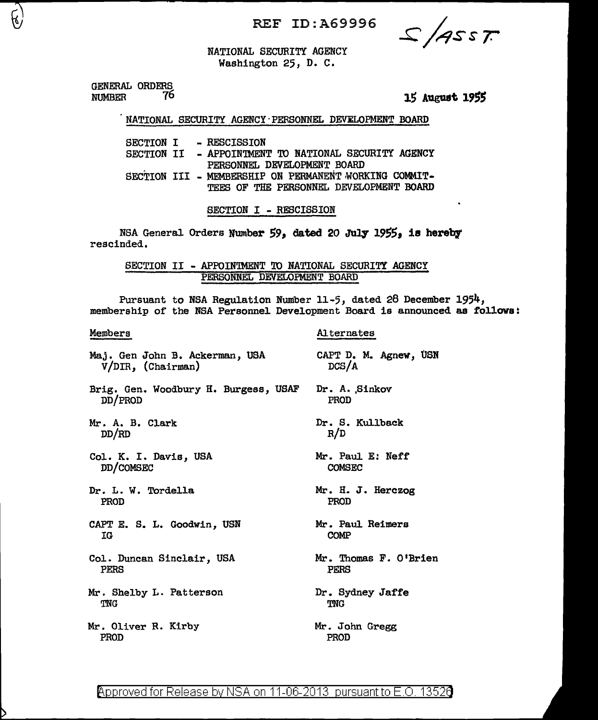REF ID:A69996

 $2/4557$ 

NATIONAL SECURITY AGENCY Washington 25, D. C.

GENERAL ORDERS<br>NUMBER 76 **NUMBER** 

15 August 1955

#### NATIONAL SECURITY AGENCY PERSONNEL DEVELOPMENT BOARD

SECTION I - RESCISSION SECTION II - APPOINTMENT TO NATIONAL SECURITY AGENCY PERSONNEL DEVELOPMENT BOARD SECTION III - MEMBERSHIP ON PERMANENT WORKING COMMIT-TEES OF THE PERSONNEL DEVELOPMENT BOARD

SECTION I - RESCISSION

NSA General Orders Number 59, dated 20 July 1955, is hereby rescinded.

SECTION II - APPOINTMENT TO NATIONAL SECURITY AGENCY PERSONNEL DEVELOPMENT BOARD

Pursuant to NSA Regulation Number 11-5, dated 28 December 1954, membership of the NSA Personnel Development Board is announced as follows:

# Members

- Maj. Gen John B. Ackerman, USA V/DIR, (Chairman)
- Brig. Gen. Woodbury H. Burgess, USAF DD/PROD
- Mr. A. B. Clark DD/RD
- Col. K. I. Davis, USA DD/COMSEC
- Dr. L. W. Tordella PROD
- CAPT E. S. L. Goodwin, USN IG
- Col. Duncan Sinclair, USA PERS
- Mr. Shelby L. Patterson TNG

Mr. Oliver R. Kirby PROD

CAPT D. M. Agnew, USN DCS/A Dr. A. Sinkov PROD

Alternates

- Dr. S. Kullback R/D
- Mr. Paul *E:* Neff COMSEC
- Mr. H. J. Herczog PROD
- Mr. Paul Reimers COMP
- Mr. Thomas F. O'Brien PERS
- Dr. Sydney Jaffe TNG
- Mr. John Gregg PROD

@'pp roved for Release bv NSA on 11-06-2013 pursuant to E .0. 1352\3